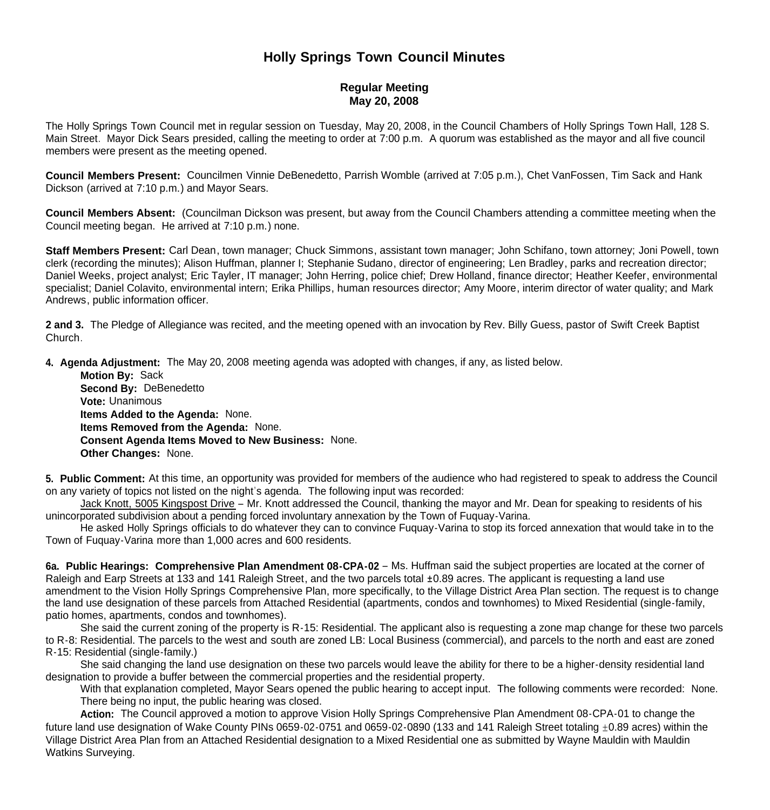## **Holly Springs Town Council Minutes**

## **Regular Meeting May 20, 2008**

The Holly Springs Town Council met in regular session on Tuesday, May 20, 2008, in the Council Chambers of Holly Springs Town Hall, 128 S. Main Street. Mayor Dick Sears presided, calling the meeting to order at 7:00 p.m. A quorum was established as the mayor and all five council members were present as the meeting opened.

**Council Members Present:** Councilmen Vinnie DeBenedetto, Parrish Womble (arrived at 7:05 p.m.), Chet VanFossen, Tim Sack and Hank Dickson (arrived at 7:10 p.m.) and Mayor Sears.

**Council Members Absent:** (Councilman Dickson was present, but away from the Council Chambers attending a committee meeting when the Council meeting began. He arrived at 7:10 p.m.) none.

**Staff Members Present:** Carl Dean, town manager; Chuck Simmons, assistant town manager; John Schifano, town attorney; Joni Powell, town clerk (recording the minutes); Alison Huffman, planner I; Stephanie Sudano, director of engineering; Len Bradley, parks and recreation director; Daniel Weeks, project analyst; Eric Tayler, IT manager; John Herring, police chief; Drew Holland, finance director; Heather Keefer, environmental specialist; Daniel Colavito, environmental intern; Erika Phillips, human resources director; Amy Moore, interim director of water quality; and Mark Andrews, public information officer.

**2 and 3.** The Pledge of Allegiance was recited, and the meeting opened with an invocation by Rev. Billy Guess, pastor of Swift Creek Baptist Church.

**4. Agenda Adjustment:** The May 20, 2008 meeting agenda was adopted with changes, if any, as listed below.

 **Motion By:** Sack **Second By:** DeBenedetto **Vote:** Unanimous  **Items Added to the Agenda:** None. **Items Removed from the Agenda:** None. **Consent Agenda Items Moved to New Business:** None. **Other Changes:** None.

**5. Public Comment:** At this time, an opportunity was provided for members of the audience who had registered to speak to address the Council on any variety of topics not listed on the night's agenda. The following input was recorded:

 Jack Knott, 5005 Kingspost Drive – Mr. Knott addressed the Council, thanking the mayor and Mr. Dean for speaking to residents of his unincorporated subdivision about a pending forced involuntary annexation by the Town of Fuquay-Varina.

 He asked Holly Springs officials to do whatever they can to convince Fuquay-Varina to stop its forced annexation that would take in to the Town of Fuquay-Varina more than 1,000 acres and 600 residents.

**6a. Public Hearings: Comprehensive Plan Amendment 08-CPA-02** – Ms. Huffman said the subject properties are located at the corner of Raleigh and Earp Streets at 133 and 141 Raleigh Street, and the two parcels total ±0.89 acres. The applicant is requesting a land use amendment to the Vision Holly Springs Comprehensive Plan, more specifically, to the Village District Area Plan section. The request is to change the land use designation of these parcels from Attached Residential (apartments, condos and townhomes) to Mixed Residential (single-family, patio homes, apartments, condos and townhomes).

 She said the current zoning of the property is R-15: Residential. The applicant also is requesting a zone map change for these two parcels to R-8: Residential. The parcels to the west and south are zoned LB: Local Business (commercial), and parcels to the north and east are zoned R-15: Residential (single-family.)

 She said changing the land use designation on these two parcels would leave the ability for there to be a higher-density residential land designation to provide a buffer between the commercial properties and the residential property.

With that explanation completed, Mayor Sears opened the public hearing to accept input. The following comments were recorded: None. There being no input, the public hearing was closed.

 **Action:** The Council approved a motion to approve Vision Holly Springs Comprehensive Plan Amendment 08-CPA-01 to change the future land use designation of Wake County PINs 0659-02-0751 and 0659-02-0890 (133 and 141 Raleigh Street totaling  $\pm 0.89$  acres) within the Village District Area Plan from an Attached Residential designation to a Mixed Residential one as submitted by Wayne Mauldin with Mauldin Watkins Surveying.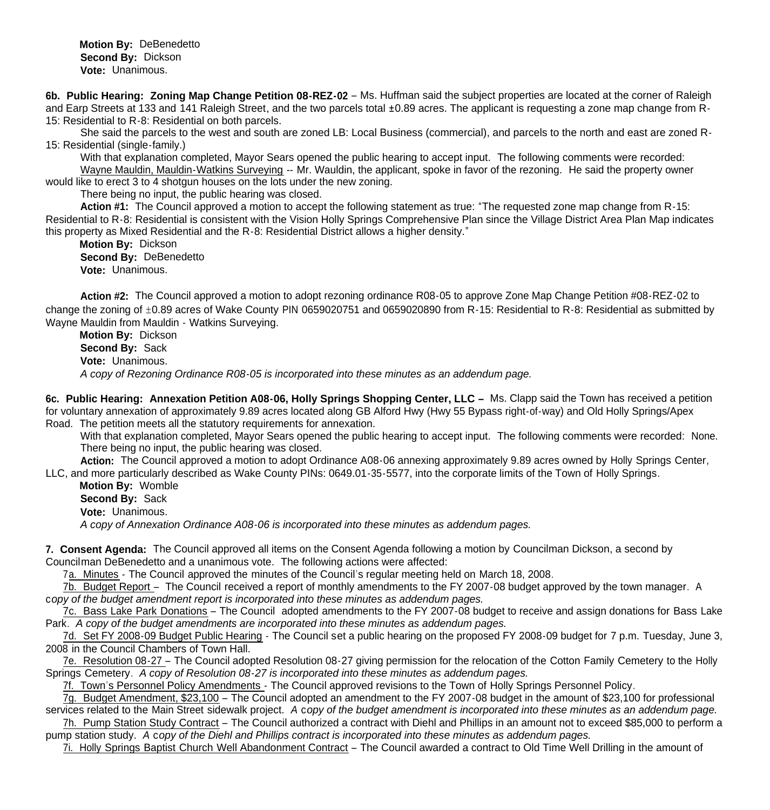**Motion By:** DeBenedetto **Second By:** Dickson **Vote:** Unanimous.

**6b. Public Hearing: Zoning Map Change Petition 08-REZ-02** – Ms. Huffman said the subject properties are located at the corner of Raleigh and Earp Streets at 133 and 141 Raleigh Street, and the two parcels total ±0.89 acres. The applicant is requesting a zone map change from R-15: Residential to R-8: Residential on both parcels.

 She said the parcels to the west and south are zoned LB: Local Business (commercial), and parcels to the north and east are zoned R-15: Residential (single-family.)

With that explanation completed, Mayor Sears opened the public hearing to accept input. The following comments were recorded: Wayne Mauldin, Mauldin-Watkins Surveying -- Mr. Wauldin, the applicant, spoke in favor of the rezoning. He said the property owner would like to erect 3 to 4 shotgun houses on the lots under the new zoning.

There being no input, the public hearing was closed.

 **Action #1:** The Council approved a motion to accept the following statement as true: "The requested zone map change from R-15: Residential to R-8: Residential is consistent with the Vision Holly Springs Comprehensive Plan since the Village District Area Plan Map indicates this property as Mixed Residential and the R-8: Residential District allows a higher density."

 **Motion By:** Dickson **Second By:** DeBenedetto **Vote:** Unanimous.

 **Action #2:** The Council approved a motion to adopt rezoning ordinance R08-05 to approve Zone Map Change Petition #08-REZ-02 to change the zoning of  $\pm 0.89$  acres of Wake County PIN 0659020751 and 0659020890 from R-15: Residential to R-8: Residential as submitted by Wayne Mauldin from Mauldin - Watkins Surveying.

 **Motion By:** Dickson **Second By:** Sack **Vote:** Unanimous.  *A copy of Rezoning Ordinance R08-05 is incorporated into these minutes as an addendum page.*

**6c. Public Hearing: Annexation Petition A08-06, Holly Springs Shopping Center, LLC –** Ms. Clapp said the Town has received a petition for voluntary annexation of approximately 9.89 acres located along GB Alford Hwy (Hwy 55 Bypass right-of-way) and Old Holly Springs/Apex Road. The petition meets all the statutory requirements for annexation.

With that explanation completed, Mayor Sears opened the public hearing to accept input. The following comments were recorded: None. There being no input, the public hearing was closed.

**Action:** The Council approved a motion to adopt Ordinance A08-06 annexing approximately 9.89 acres owned by Holly Springs Center, LLC, and more particularly described as Wake County PINs: 0649.01-35-5577, into the corporate limits of the Town of Holly Springs.

 **Motion By:** Womble **Second By:** Sack

**Vote:** Unanimous.

 *A copy of Annexation Ordinance A08-06 is incorporated into these minutes as addendum pages.*

**7. Consent Agenda:** The Council approved all items on the Consent Agenda following a motion by Councilman Dickson, a second by Councilman DeBenedetto and a unanimous vote. The following actions were affected:

7a. Minutes - The Council approved the minutes of the Council's regular meeting held on March 18, 2008.

7b. Budget Report – The Council received a report of monthly amendments to the FY 2007-08 budget approved by the town manager. A c*opy of the budget amendment report is incorporated into these minutes as addendum pages.*

 7c. Bass Lake Park Donations – The Council adopted amendments to the FY 2007-08 budget to receive and assign donations for Bass Lake Park. *A copy of the budget amendments are incorporated into these minutes as addendum pages.*

7d. Set FY 2008-09 Budget Public Hearing - The Council set a public hearing on the proposed FY 2008-09 budget for 7 p.m. Tuesday, June 3, 2008 in the Council Chambers of Town Hall.

 7e. Resolution 08-27 – The Council adopted Resolution 08-27 giving permission for the relocation of the Cotton Family Cemetery to the Holly Springs Cemetery. *A copy of Resolution 08-27 is incorporated into these minutes as addendum pages.*

7f. Town's Personnel Policy Amendments - The Council approved revisions to the Town of Holly Springs Personnel Policy.

 7g. Budget Amendment, \$23,100 – The Council adopted an amendment to the FY 2007-08 budget in the amount of \$23,100 for professional services related to the Main Street sidewalk project.*A* c*opy of the budget amendment is incorporated into these minutes as an addendum page.*

 7h. Pump Station Study Contract – The Council authorized a contract with Diehl and Phillips in an amount not to exceed \$85,000 to perform a pump station study. *A* c*opy of the Diehl and Phillips contract is incorporated into these minutes as addendum pages.*

7i. Holly Springs Baptist Church Well Abandonment Contract – The Council awarded a contract to Old Time Well Drilling in the amount of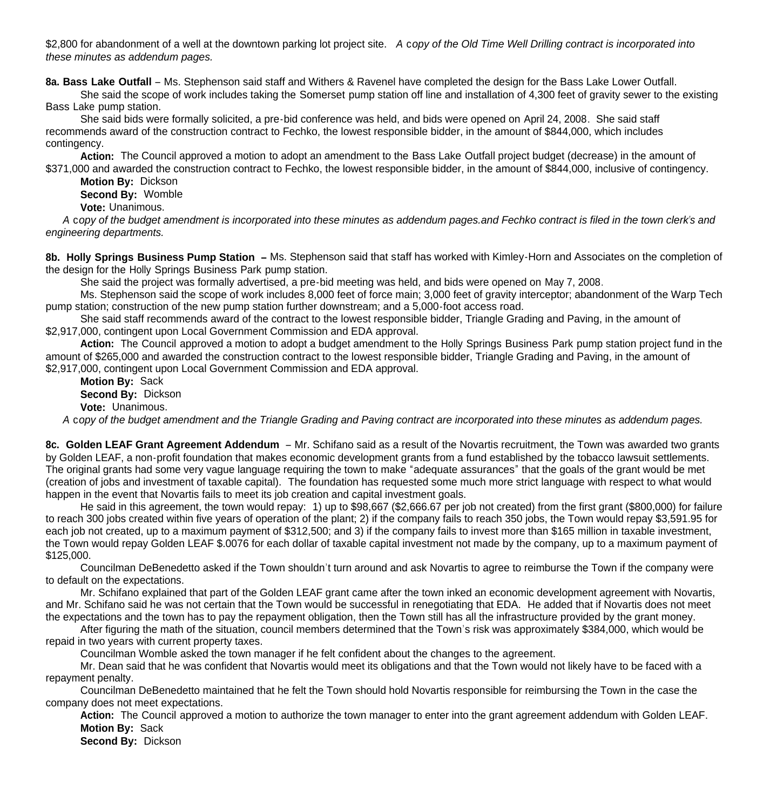\$2,800 for abandonment of a well at the downtown parking lot project site. *A* c*opy of the Old Time Well Drilling contract is incorporated into these minutes as addendum pages.*

**8a. Bass Lake Outfall** – Ms. Stephenson said staff and Withers & Ravenel have completed the design for the Bass Lake Lower Outfall.

She said the scope of work includes taking the Somerset pump station off line and installation of 4,300 feet of gravity sewer to the existing Bass Lake pump station.

 She said bids were formally solicited, a pre-bid conference was held, and bids were opened on April 24, 2008. She said staff recommends award of the construction contract to Fechko, the lowest responsible bidder, in the amount of \$844,000, which includes contingency.

 **Action:** The Council approved a motion to adopt an amendment to the Bass Lake Outfall project budget (decrease) in the amount of \$371,000 and awarded the construction contract to Fechko, the lowest responsible bidder, in the amount of \$844,000, inclusive of contingency.

**Motion By:** Dickson

**Second By:** Womble

**Vote:** Unanimous.

 *A* c*opy of the budget amendment is incorporated into these minutes as addendum pages.and Fechko contract is filed in the town clerk's and engineering departments.*

**8b. Holly Springs Business Pump Station –** Ms. Stephenson said that staff has worked with Kimley-Horn and Associates on the completion of the design for the Holly Springs Business Park pump station.

She said the project was formally advertised, a pre-bid meeting was held, and bids were opened on May 7, 2008.

 Ms. Stephenson said the scope of work includes 8,000 feet of force main; 3,000 feet of gravity interceptor; abandonment of the Warp Tech pump station; construction of the new pump station further downstream; and a 5,000-foot access road.

 She said staff recommends award of the contract to the lowest responsible bidder, Triangle Grading and Paving, in the amount of \$2,917,000, contingent upon Local Government Commission and EDA approval.

 **Action:** The Council approved a motion to adopt a budget amendment to the Holly Springs Business Park pump station project fund in the amount of \$265,000 and awarded the construction contract to the lowest responsible bidder, Triangle Grading and Paving, in the amount of \$2,917,000, contingent upon Local Government Commission and EDA approval.

**Motion By:** Sack

**Second By:** Dickson

**Vote:** Unanimous.

 *A* c*opy of the budget amendment and the Triangle Grading and Paving contract are incorporated into these minutes as addendum pages.*

**8c. Golden LEAF Grant Agreement Addendum** – Mr. Schifano said as a result of the Novartis recruitment, the Town was awarded two grants by Golden LEAF, a non-profit foundation that makes economic development grants from a fund established by the tobacco lawsuit settlements. The original grants had some very vague language requiring the town to make "adequate assurances" that the goals of the grant would be met (creation of jobs and investment of taxable capital). The foundation has requested some much more strict language with respect to what would happen in the event that Novartis fails to meet its job creation and capital investment goals.

 He said in this agreement, the town would repay: 1) up to \$98,667 (\$2,666.67 per job not created) from the first grant (\$800,000) for failure to reach 300 jobs created within five years of operation of the plant; 2) if the company fails to reach 350 jobs, the Town would repay \$3,591.95 for each job not created, up to a maximum payment of \$312,500; and 3) if the company fails to invest more than \$165 million in taxable investment, the Town would repay Golden LEAF \$.0076 for each dollar of taxable capital investment not made by the company, up to a maximum payment of \$125,000.

 Councilman DeBenedetto asked if the Town shouldn't turn around and ask Novartis to agree to reimburse the Town if the company were to default on the expectations.

 Mr. Schifano explained that part of the Golden LEAF grant came after the town inked an economic development agreement with Novartis, and Mr. Schifano said he was not certain that the Town would be successful in renegotiating that EDA. He added that if Novartis does not meet the expectations and the town has to pay the repayment obligation, then the Town still has all the infrastructure provided by the grant money.

 After figuring the math of the situation, council members determined that the Town's risk was approximately \$384,000, which would be repaid in two years with current property taxes.

Councilman Womble asked the town manager if he felt confident about the changes to the agreement.

 Mr. Dean said that he was confident that Novartis would meet its obligations and that the Town would not likely have to be faced with a repayment penalty.

 Councilman DeBenedetto maintained that he felt the Town should hold Novartis responsible for reimbursing the Town in the case the company does not meet expectations.

**Action:** The Council approved a motion to authorize the town manager to enter into the grant agreement addendum with Golden LEAF. **Motion By:** Sack

**Second By:** Dickson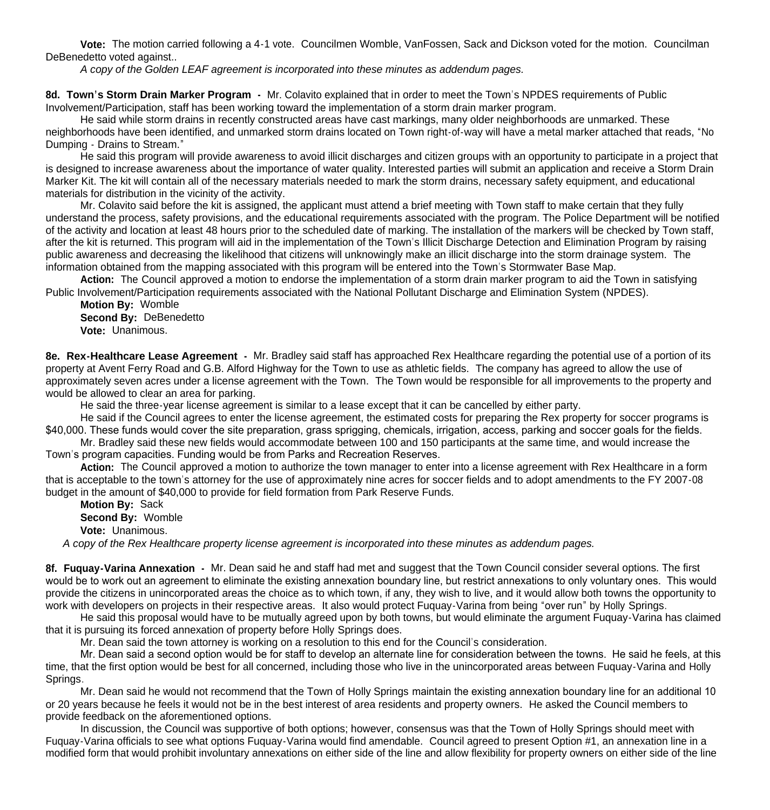**Vote:** The motion carried following a 4-1 vote. Councilmen Womble, VanFossen, Sack and Dickson voted for the motion. Councilman DeBenedetto voted against..

 *A copy of the Golden LEAF agreement is incorporated into these minutes as addendum pages.*

**8d. Town's Storm Drain Marker Program -** Mr. Colavito explained that in order to meet the Town's NPDES requirements of Public Involvement/Participation, staff has been working toward the implementation of a storm drain marker program.

 He said while storm drains in recently constructed areas have cast markings, many older neighborhoods are unmarked. These neighborhoods have been identified, and unmarked storm drains located on Town right-of-way will have a metal marker attached that reads, "No Dumping - Drains to Stream."

 He said this program will provide awareness to avoid illicit discharges and citizen groups with an opportunity to participate in a project that is designed to increase awareness about the importance of water quality. Interested parties will submit an application and receive a Storm Drain Marker Kit. The kit will contain all of the necessary materials needed to mark the storm drains, necessary safety equipment, and educational materials for distribution in the vicinity of the activity.

Mr. Colavito said before the kit is assigned, the applicant must attend a brief meeting with Town staff to make certain that they fully understand the process, safety provisions, and the educational requirements associated with the program. The Police Department will be notified of the activity and location at least 48 hours prior to the scheduled date of marking. The installation of the markers will be checked by Town staff, after the kit is returned. This program will aid in the implementation of the Town's Illicit Discharge Detection and Elimination Program by raising public awareness and decreasing the likelihood that citizens will unknowingly make an illicit discharge into the storm drainage system. The information obtained from the mapping associated with this program will be entered into the Town's Stormwater Base Map.

**Action:** The Council approved a motion to endorse the implementation of a storm drain marker program to aid the Town in satisfying Public Involvement/Participation requirements associated with the National Pollutant Discharge and Elimination System (NPDES).

**Motion By:** Womble **Second By:** DeBenedetto **Vote:** Unanimous.

**8e. Rex-Healthcare Lease Agreement -** Mr. Bradley said staff has approached Rex Healthcare regarding the potential use of a portion of its property at Avent Ferry Road and G.B. Alford Highway for the Town to use as athletic fields. The company has agreed to allow the use of approximately seven acres under a license agreement with the Town. The Town would be responsible for all improvements to the property and would be allowed to clear an area for parking.

He said the three-year license agreement is similar to a lease except that it can be cancelled by either party.

He said if the Council agrees to enter the license agreement, the estimated costs for preparing the Rex property for soccer programs is \$40,000. These funds would cover the site preparation, grass sprigging, chemicals, irrigation, access, parking and soccer goals for the fields.

 Mr. Bradley said these new fields would accommodate between 100 and 150 participants at the same time, and would increase the Town's program capacities. Funding would be from Parks and Recreation Reserves.

**Action:** The Council approved a motion to authorize the town manager to enter into a license agreement with Rex Healthcare in a form that is acceptable to the town's attorney for the use of approximately nine acres for soccer fields and to adopt amendments to the FY 2007-08 budget in the amount of \$40,000 to provide for field formation from Park Reserve Funds.

**Motion By:** Sack

**Second By:** Womble

**Vote:** Unanimous.

 *A copy of the Rex Healthcare property license agreement is incorporated into these minutes as addendum pages.*

**8f. Fuquay-Varina Annexation -** Mr. Dean said he and staff had met and suggest that the Town Council consider several options. The first would be to work out an agreement to eliminate the existing annexation boundary line, but restrict annexations to only voluntary ones. This would provide the citizens in unincorporated areas the choice as to which town, if any, they wish to live, and it would allow both towns the opportunity to work with developers on projects in their respective areas. It also would protect Fuquay-Varina from being "over run" by Holly Springs.

 He said this proposal would have to be mutually agreed upon by both towns, but would eliminate the argument Fuquay-Varina has claimed that it is pursuing its forced annexation of property before Holly Springs does.

Mr. Dean said the town attorney is working on a resolution to this end for the Council's consideration.

 Mr. Dean said a second option would be for staff to develop an alternate line for consideration between the towns. He said he feels, at this time, that the first option would be best for all concerned, including those who live in the unincorporated areas between Fuquay-Varina and Holly Springs.

 Mr. Dean said he would not recommend that the Town of Holly Springs maintain the existing annexation boundary line for an additional 10 or 20 years because he feels it would not be in the best interest of area residents and property owners. He asked the Council members to provide feedback on the aforementioned options.

 In discussion, the Council was supportive of both options; however, consensus was that the Town of Holly Springs should meet with Fuquay-Varina officials to see what options Fuquay-Varina would find amendable. Council agreed to present Option #1, an annexation line in a modified form that would prohibit involuntary annexations on either side of the line and allow flexibility for property owners on either side of the line